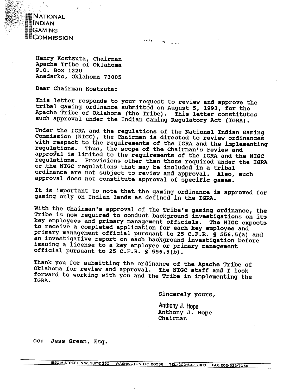

**Henry Kostzuta, Chairman Apache Tribe of Oklahoma P.O. Box 1220 Anadarko, Oklahoma 73005** 

**Dear Chairman Kostzuta:** 

**This letter responds to your request to review and approve the tribal gaming ordinance submitted on August 5, 1993, for the Apache Tribe of Oklahoma (the Tribe). This letter constitutes such approval under the Indian Gaming Regulatory Act (IGRA).** 

W. 4 and

**Under the IGRA and the regulations of the National Indian Gaming**  Commission (NIGC), the Chairman is directed to review ordinances **with respect to the requirements of the IGRA and the implementing regulations. Thus, the scope of the Chairman's review and appraqal is limited to the requirements of the IGRA and the NIGC regulations. Provisions other than those required under the IGRA or the NIGC regulations that may be included in a tribal ordinance are not subject to review and approval. Also, such approval does not constitute approval of specific games.** 

**It is important to note that the gaming ordinance is approved for gaming only on Indian lands as defined in the IGRA.** 

**With the Chairman's approval of the Tribe's gaming ordinance, the Tribe is now required to conduct background investigations on its key employees and primary management officials. The NIGC expects to receive a completed application for each key employee and primary management official pursuant to 25 C.F.R. S 556.5(a) and an investigative report on each background investigation before issuing a license to a key employee or primary management official pursuant to 25 C.F.R. S 556.5(b).** 

**Thank you for submitting the ordinance of the Apache Tribe of Oklahoma for review and approval. The NIGC staff and I look**  forward to working with you and the Tribe in implementing the **IGRA.** 

**sincerely yours,** 

**Anthony J. Hope Anthony J. Hope Chairman** 

**cc: Jess Green, Esq.**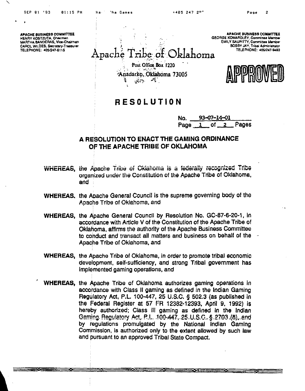N a

**APACHE BUSINESS COMMITTEE HENRY KOSTZUTA, Chairman** MARTHA BANDERAS, Vice-Chairman CAROL WILDES, Secretary-Treasurer TELEPHONE: 405/247-6116

<u> The Theory of the Contract of the Contract of the Contract of the Contract of the Contract of the Contract of the Contract of the Contract of the Contract of the Contract of the Contract of the Contract of the Contract o</u>

**APACHE BUSINESS COMMITTEE GEORGE KOMARDLEY, Comminge Member EMILY SAUPITTY, Committee Member BOBBY JAY, Tribal Administrator** TELEPHONE: 405/247-9493

Oklahoma Apache 1 ribe of Post Office Box 1220 Anadarko, Oklahoma 73005  $\mathcal{L}_{\mathcal{B}}(x) = \mathcal{L}_{\mathcal{B}}(x)$ 

يستصطخ

# **RESOLUTION**

93-07-14-01 No. Pages Page  $1$  of  $2$ 

# A RESOLUTION TO ENACT THE GAMING ORDINANCE OF THE APACHE TRIBE OF OKLAHOMA

- WHEREAS, the Apache Tribe of Oklahoma is a federally recognized Tribe organized under the Constitution of the Apache Tribe of Oklahoma, and
- WHEREAS, the Apache General Council is the supreme governing body of the Apache Tribe of Oklahoma, and
- WHEREAS, the Apache General Council by Resolution No. GC-87-6-20-1, in accordance with Article V of the Constitution of the Apache Tribe of Oklahoma, affirms the authority of the Apache Business Committee to conduct and transact all matters and business on behalf of the Apache Tribe of Oklahoma, and
- WHEREAS, the Apache Tribe of Oklahoma, in order to promote tribal economic development, self-sufficiency, and strong Tribal government has implemented gaming operations, and
- **WHEREAS, the Apache Tribe of Oklahoma authorizes gaming operations in** accordance with Class II gaming as defined in the Indian Gaming Regulatory Act, P.L. 100-447, 25 U.S.C. § 502.3 (as published in the Federal Register at 57 FR 12382-12393, April 9, 1992) is hereby authorized; Class III gaming as defined in the Indian Gaming Regulatory Act, P.L. 100-447, 25 U.S.C. § 2703 (8), and by regulations promulgated by the National Indian Gaming Commission, is authorized only to the extent allowed by such law and pursuant to an approved Tribal State Compact.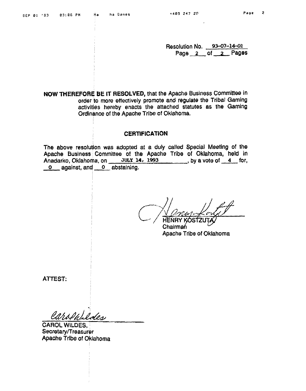**Resolution No. 93-07-14-01**  Page 2 of 2 Pages

**NOW THEREFORE BE IT RESOLVED, that the Apache Business Committee in order to more effectively promote and regulate the Tribal Gaming activities hereby enacts the attached statutes as the Gaming Ordinance of the Apache Tribe of Oklahoma.** 

# **CERTIFICATION**

**The above resolution was adopted at a duly called Special Meeting of the Apache Buslness Committee of the Apache Tribe of Oklahoma, held in**  Anadarko, Oklahoma, on JULY 14, 1993<br> **O** against, and **O** abstaining. **CERTI**<br>The above resolution was adopted a<br>Apache Business Committee of the<br>Anadarko, Oklahoma, on JULY 14<br>0 against, and 0 abstaining.

*C/~I!~~~,"Y*   $\sim$  / HENRY KOSTZUT.

**Chairman Apache Tribe of Oklahoma** 

**ATTEST;** 

Carolutides

**CAROL WILDES, ~eoretary/Treasurer Apache Trlbe of Oklahoma**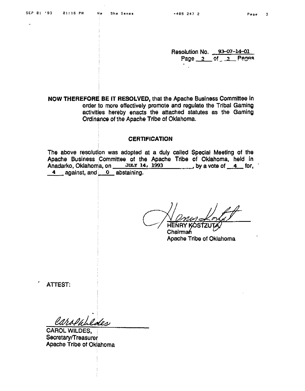$\ddot{\cdot}$ 

**Resolution No.** 93-07-14-01<br>**Page 2** of 2 Pages **P=ge a nf** -, **Pegon** 

**NOW THEREFORE BE IT RESOLVED, that the Apache Business Committee in order to more effectively promote and regulate the Tribal Gaming activities hereby enacts the attached statutes as the Gaming Ordinance of the Apache Trlbe of Oklahoma.** 

# **CERTIFICATION**

The above resolution was adopted at a duly called Special Meeting of the **Apache Business Committee of the Apache Tribe of Oklahoma, held in**  Anadarko. Oklahoma, on **JULY 14, 1993**. by a vote of 4 for,  $\frac{4}{100}$  for,  $\frac{4}{100}$  and  $\frac{0}{100}$  abstaining. **CERTI**<br>The above resolution was adopted<br>Apache Business Committee of the<br>Anadarko, Oklahoma, on JULY 14<br>4 against, and 0 abstaining.

**~hairmah** w **Apache Tribe of Oklahoma** 

**ATTEST:** 

Carolablaces

**CAROL WILDES,**  Secretary/Treasurer **Apache Tribe of Oklahoma**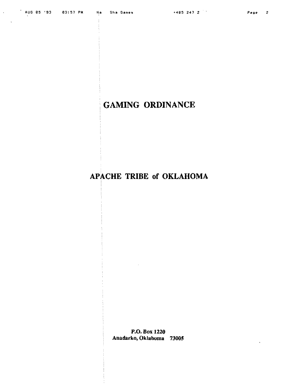$\Delta \sim 10^4$ 

# **GAMING ORDINANCE**

# APACHE TRIBE of OKLAHOMA

P.O. Box 1220 Anadarko, Oklahoma 73005

 $\sim$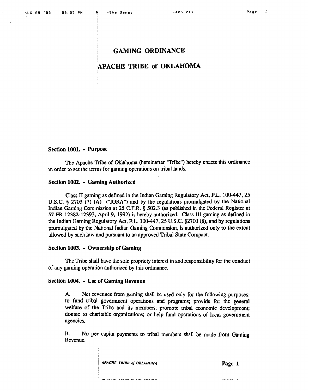# **APACHE TRIBE of OKLAHOMA**

# **Section 1001.** - **purpose**

Wre Apache **Tribe** of Oklahoma (hereinafter "Tribe") hereby enncts this ordinance in order to set the terms for gaming operations on tribal lands.

# Section 1002. - Gaming Authorized

Class 11 **gaming** as defined in thc Indian Gaming Regulatory Act, **P.L.** 100-447,25 **U,S,C, g 2703** (7) **(A) ("IOKA")** and by the regulations promulgated by the National **Indian Gaming** Commission at 25 **C.F.R. 5** 502.3 (as published in the Federal Registcr at 57 **FR 12382-12393, April 9, 1992)** is hereby authorized. Class **II1 gaming** as defined in the Indian Gaming Regulatory Act, P.L. 100-447, 25 U.S.C. §2703 (8), and by regulations promulgated by the National Jndian Gaming Cornnission, is authorized only to the extent allowed by such law and pursuant to an approved Tribal State Compact.

# **Section 1003.** - **ownership of Gaming**

The Tribe shall have the **sole** propriety interest in and responsibility for the conduct of any **gaming** operation authorized by this ordinance.

# **Section 1005.** - **Use of Gaming Revenue**

**A.** Net revenues from gaming shall **bc** used only for the following purposes: to fund tribal government operations and programs; provide for the general welfare of the Tribe and its members; promote tribal economic development; donate to charitable organizations; or help fund opcrations of local government agencies. ,

B. No per capita payments to tribal members shall be made from Gaming Revenue.

**APACHE TRIBE of OKLAHOMA** 

mencina tanah di dalam men

 $\cdots$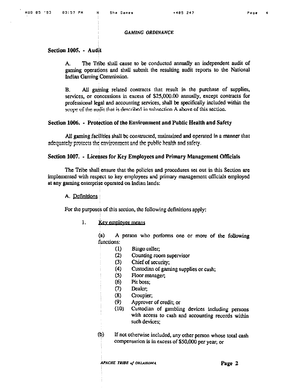# Section 1005. - Audit

The Tribe shall cause to be conducted annually an independent audit of А. gaming operations and shall submit the resulting audit reports to the National Indian Gaming Commission.

All gaming related contracts that result in the purchase of supplies,  $\mathbf{B}$ . services, or concessions in excess of \$25,000.00 annually, except contracts for professional legal and accounting services, shall be specifically included within the scope of the audit that is described in subsection A above of this section.

# Section 1006. - Protection of the Environment and Public Health and Safety

All gaming facilities shall be constructed, maintained and operated in a manner that adequately protects the environment and the public health and safety.

### Section 1007. - Licenses for Key Employees and Primary Management Officials

The Tribe shall ensure that the policies and procedures set out in this Section are implemented with respect to key employees and primary management officials employed at any gaming enterprise operated on Indian lands:

# A. Definitions

For the purposes of this section, the following definitions apply:

#### $1.$ Key employee means

 $(a)$ A person who performs one or more of the following functions:

- $(1)$ Bingo caller;
- $(2)$ Counting room supervisor
- $(3)$ Chief of security;
- $(4)$ Custodian of gaming supplies or cash;
- $(5)$ Floor manager;
- $(6)$ Pit boss:
- $(7)$ Dealer;
- $(8)$ Croupier;
- $(9)$ Approver of credit; or
- $(10)$ Custodian of gambling devices including persons with access to cash and accounting records within such devices;
- $(b)$ If not otherwise included, any other person whose total cash compensation is in excess of \$50,000 per year; or

**APACHE TRIBE of OKLAHOMA**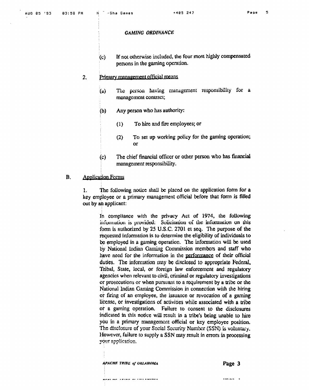If not otherwise included, the four most highly compensated  $(c)$ persons in the gaming operation.

#### Primary management official means  $\overline{2}$ .

- The person having management responsibility for a  $(u)$ management contract;
- $(b)$ Any person who has authority:
	- $(1)$ To hire and fire employees; or
	- $(2)$ To set up working policy for the gaming operation; or
- The chief financial officer or other person who has financial  $(c)$ management responsibility.

#### **B. Application Forms**

The following notice shall be placed on the application form for a  $\mathbf{1}$ . key employee or a primary management official before that form is filled out by an applicant:

In compliance with the privacy Act of 1974, the following information is provided: Solicitation of the information on this form is authorized by 25 U.S.C. 2701 et seq. The purpose of the requested information is to determine the eligibility of individuals to be employed in a gaming operation. The information will be used by National Indian Gaming Commission members and staff who have need for the information in the performance of their official duties. The information may be disclosed to appropriate Federal, Tribal, State, local, or foreign law enforcement and regulatory agencies when relevant to civil, criminal or regulatory investigations or prosecutions or when pursuant to a requirement by a tribe or the National Indian Gaming Commission in connection with the hiring or firing of an employee, the issuance or revocation of a gaming license, or investigations of activities while associated with a tribe or a gaming operation. Failure to consent to the disclosures indicated in this notice will result in a tribe's being unable to hire you in a primary management official or key employee position. The disclosure of your Social Security Number (SSN) is voluntary. However, failure to supply a SSN may result in errors in processing your application.

**APACHE TRIBE of OKIAHOMA** 

Page 3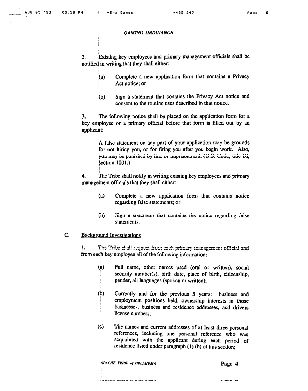Existing key employees and primary management officials shall be  $2.$ notified in writing that they shall either:

- Complete a new application form that contains a Privacy  $(a)$ Act notice; or
- Sign a statement that contains the Privacy Act notice and  $(b)$ consent to the routine uses described in that notice.

The following notice shall be placed on the application form for a  $3.$ key employee or a primary official before that form is filled out by an applicant:

> A false statement on any part of your application may be grounds for not hiring you, or for firing you after you begin work. Also, you may be punished by fuit or imprisonment. (U.S. Code, title 18, section  $1001$ .)

4. The Tribe shall notify in writing existing key employees and primary management officials that they shall cither:

- $(a)$ Complete a new application form that contains notice regarding false statements; or
- ໃນ) Sign a statement that contains the notice regarding false statements.

#### C. **Background Investigations**

The Tribe shall request from each primary management official and 1. from each key employee all of the following information:

- $(a)$ Full name, other names used (oral or written), social security number(s), birth date, place of birth, citizenship, gender, all languages (spoken or written);
- $(b)$ Currently and for the previous 5 years: business and employment positions held, ownership interests in those businesses, business and residence addresses, and drivers license numbers:
- $(c)$ The names and current addresses of at least three personal references, including one personal reference who was acquainted with the applicant during each period of residence listed under paragraph (1) (b) of this section;

**APACHE TRIBE of OKLAHOMA** 

Page 4

 $\sim$   $\sim$   $\sim$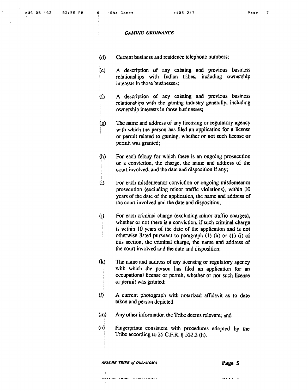- (d) Current business and residence telephone numbers;
- (e) **A** description of any existing and previous business relationships with Indian tribes, including ownership interests in those businesses;
- **(f) A** description **of rury** exisling and previous buslness relationships with the gaming industry generally, including ownership interests in those businesses;
- (g) The name and address of any licensing or regulatory agency with which the person has filed an application for a license or permit related to **gaming,** whether or not such license or , pennit **was** granted;
- **(h)** For each felony for which there is an ongoing prosecution or a conviction, the charge, the name and addrcss of the court involved, and the date and disposition if any;
- (i) For each misdemeanor conviction or ongoing misdemeanor prosecution (excluding minor traffic violations), within 10 years of the date of the application, the name and addrcss **of**  <sup>I</sup>**thc court** involved and the date and disposition;
- (i) For each criminal charge (excluding minor traffic charges), whether or not there **is** a conviction, if such **criminal** charge is within 10 years of the date of the application and is not otherwise listed pursuan~ to **paragraph** (1) **(h) or (1) (i) of**  <sup>I</sup>**tlus** section, tile **criminal** charge, **the** name and address of thc court involved **and** the dute and disposition;
- **(kJ)** The **name** and addrcss of any licensing or regulatory agency with which the person has filed an application for an occupational license or permit, whether or not such license or pennit was granted;
- (I) A **current** photograph with notarized **&davit** as to date **takcn** and person depicted.
- (m) Any other information the Tribe deems relevant; and
- **(n) Fingerprints** consistenl with procedures adopted by the ( **Tribe** according to 25 **C1.R.** \$522.2 **(h).**

APACHE TRIBE of OKLAHOMA

an sanne e ar charl

**Page 5** 

..- - . -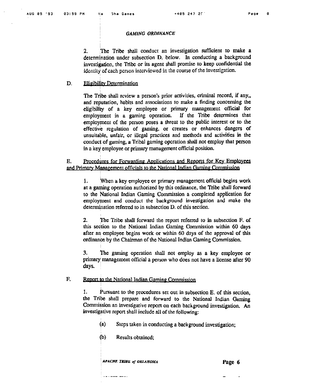The Tribe shall conduct an investigation sufficient to make a  $\overline{2}$ . determination under subsection D. below. In conducting a background investigation, the Tribe or its agent shall promise to keep confidential the identity of cach person interviewed in the course of the investigation.

#### D. **Eligibility Determination**

The Tribe shall review a person's prior activities, criminal record, if any, and reputation, habits and associations to make a finding concerning the eligibility of a key employee or primary management official for employment in a gaming operation. If the Tribe determines that employment of the person poses a threat to the public interest or to the effective regulation of gaming, or creates or enhances dangers of unsuitable, unfair, or illegal practices and methods and activities in the conduct of gaming, a Tribal gaming operation shall not employ that person in a key employee or primary management official position.

 $E.$ Procedures for Forwarding Applications and Reports for Key Employees and Primary Management officials to the National Indian Gaming Commission

 $1.$ When a key employee or primary management official begins work at a gaming operation authorized by this ordinance, the Tribe shall forward to the National Indian Gaming Commission a completed application for employment and conduct the background investigation and make the determination referred to in subsection D, of this section.

 $2.$ The Tribe shall forward the report referred to in subsection F. of this section to the National Indian Gaming Commission within 60 days after an employee begins work or within 60 days of the approval of this ordinance by the Chairman of the National Indian Gaming Commission.

3. The ganing operation shall not employ as a key employee or primary management official a person who does not have a license after 90 days.

#### F. Report to the National Indian Gaming Commission

1. Pursuant to the procedures set out in subsection E. of this section, the Tribe shall prepare and forward to the National Indian Gaming Commission an investigative report on each background investigation. An investigative report shall include all of the following:

- $(a)$ Steps taken in conducting a background investigation;
- (b) Results obtained:

**APACHE TRIBE of OKIAHOMA** 

 $- - - - - - - - -$ 

Page 6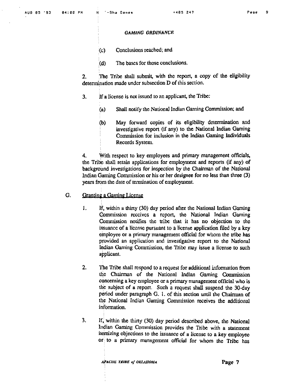- $(c)$  Conclusions reached; and
- **(d)** The **bases** for those conclusions.

**2. The** Tribe **shall** submit, with thc rcport, a copy of the eligibility determination made under subsection D of this section.

- **3. Jf** a license is not issued to an applicant, **the Tribe:** 
	- **(a) Shall** notify he National Indian Gaming Commission; and
	- **(b) May** forward copies of its eligibility determination **and** investigative report (if any) to the National Indian Gaming Commission for inclusion in the Indian Gaming Individuals Records System.

**4.** Wit11 respect to key employees and **primary management** officials, the Tribe shall retain applications for employment and reports (if any) of background investigations for inspection by the Chairman of the National Indian Gaming Commission or his or her designee for no less than three (3) years from the date of termination of employment.

- G. **Granting a Gaming License** 
	- $1.$ If, within a thirty (30) day period after the National Indian Gaming Commission reccives a report, the National Indian Gaming **Conmission** notifies the tribe that it has no objection to **thc**  issuance of a license pursuant to a license application filed by a key employee or a primary management official for whom the tribe has provided an application and investigative report to the National Indian Gaming Commission, the Tribe may issue a license to such applicant.
	- **2.** The Tribe shall respond to a request for additional information from the Chairman of the National Indian Gaming Commission concerning a key employee or a primary management official who is the subject of a report. Such a request shall suspend the 30-day period under paragraph G. 1. of this section until the Chairman of the National Indian Gaming Commission receives the additional information.
	- **3.** If, within the thirty (30) day period described above, the National Indian Gaming Commission provides the Tribe with a statement itemizing objections to the issuance of a license to a key employee or to a primary management official for whom the Tribe has

 $\frac{1}{2}$  *PACIIE TRIBE of OKLAHOMA Page 7*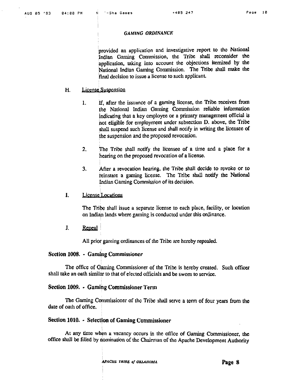1 'provided an epplication and investigative report to **the** National Indian Gaming Commission, the Tribe shall reconsider the application, taking into account the objections itemized by the **National Indian Ganing** Commission. The **Ttibe** shall **make** the final decision to issue a license to such applicant.

# H. License Suspension

- 1. If, after the issuance of a gaming license, the Tribe receives from the National Indian Gaming Commission reliable information indicating that a key employee or a primary management official is not eligible for employment under subsection D. above, the Tribe **shall** suspend **such** license and shall notify in writing the licensee of the suspension **and** the proposcd revocation.
- 2. The Tribe shall notify the licensee of a time and a place for a hearing on the proposed revocation of a license.
- **3.** After a revocation hearing, the Tribe shall **decide** to wvokc or to **kinstare** a **gmhg** license. The Tribe shall notify the National Indian Gaming Commission of its decision.
- $\mathbf{I}$ . License Locations

The Tribe shall issue a separate license to each place, facility, or location on Indian lands where gaming is conducted under this ordinance.

 $\mathbf{J}$ . Repeal

All prior gaming ordinances of the Tribe are hereby repealed.

# **Section 1008. - Gaming Commissioner**

The office of Gaming Commissioner of the Tribe is hereby created. Such officer shall take nn oath similar to that of elected officials and be **sworn** to service.

### **Section 1009. • Gaming Commissioner Term**

The Gaming Commissioner of the Tribe shall serve a term of four years from the date of oath of office.

# **Section 1010.** - **Selection of Gaming Commissioner**

At any time when a vacancy occurs in the office of Ganning Commissioner, the office shall be filled by nomination of the Chairman of the Apache Development Authority

*~ACIII~ Z'RIRE* **OJ OKUHO,+IA Page 8**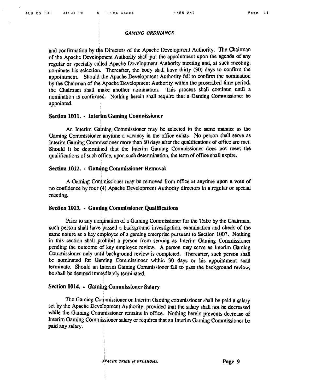and confirmation by the Directors of the Apache Development Authority. The Chairman of the Apache Development Authority shall put the appointment upon the agenda of any regular or specially called Apache Development Authority meeting and, at such meeting, nominate his selection. Thereafter, the body shall have thirty (30) days to confirm the appointment. Should the Apache Development Authority fail to confirm the nomination by the Chairman of the Apache Development Authority within the proscribed time period, the Chairman shall make another nomination. This process shall continue until a nomination is confirmed. Nothing herein shall require that a Gaming Commissioner be appointed.

#### Section 1011. - Interim Gaming Commissioner

An Interim Gaming Commissioner may be selected in the same manner as the Gaming Commissioner anytime a vacancy in the office exists. No person shall serve as Interim Gaming Commissioner more than 60 days after the qualifications of office are met. Should it be determined that the Interim Gaming Commissioner does not meet the qualifications of such office, upon such determination, the term of office shall expire.

## Section 1012. - Gaming Commissioner Removal

A Gaming Commissioner may be removed from office at anytime upon a vote of no confidence by four (4) Apache Development Authority directors in a regular or special meeting.

# Section 1013. - Gaming Commissioner Qualifications

Prior to any nomination of a Gaming Commissioner for the Tribe by the Chairman, such person shall have passed a background investigation, examination and check of the same nature as a key employee of a gaming enterprise pursuant to Section 1007. Nothing in this section shall prohibit a person from serving as Interim Gaming Commissioner pending the outcome of key employee review. A person may serve as Interim Gaming Commissioner only until background review is completed. Thereafter, such person shall be nominated for Gunning Commissioner within 30 days or his appointment shall terminate. Should an Interim Gaming Commissioner fail to pass the background review. he shall be deemed immediately terminated.

### Section 1014. • Gaming Commissioner Salary

The Gaming Commissioner or Interim Gaming commissioner shall be paid a salary set by the Apache Development Authority, provided that the salary shall not be decreased while the Gaming Commissioner remains in office. Nothing herein prevents decrease of Interim Gaming Commissioner salary or requires that an Interim Gaming Commissioner be paid any salary.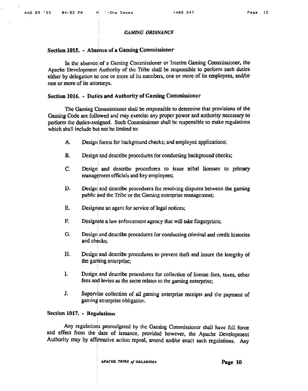# Section 1015. - Absence of a Gaming Commissioner

In the absence of a Gaming Commissioner or Interim Gaming Commissioner, the Apache Development Authority of the Tribe shall be responsible to perform such duties either by delegation to one or more of its members, one or more of its employees, and/or one or more of its attorneys.

# Section 1016. - Duties and Authority of Gaming Commissioner

The Gaming Commissioner shall be responsible to determine that provisions of the Gaming Code are followed and may exercise any proper power and authority necessary to perform the duties-assigned. Such Commissioner shall be responsible to make regulations which shall include but not be limited to:

- А. Design forms for background checks; and employee applications;
- $B<sub>1</sub>$ Design and describe procedures for conducting background checks;
- $C_{\cdot}$ Design and describe procedures to issue tribal licenses to primary management officials and key employees;
- D. Design and describe procedures for resolving disputes between the gaming public and the Tribe or the Gaming enterprise management;
- E. Designate an agent for service of legal notices;
- $F_{\cdot}$ Designate a law enforcement agency that will take fingerprints;
- G. Design and describe procedures for conducting criminal and credit histories and checks;
- H. Design and describe procedures to prevent theft and insure the integrity of the gaming enterprise;
- $\mathbf{I}$ Design and describe procedures for collection of license fees, taxes, other fees and levies as the same relates to the gaming enterprise;
- J. Supervise collection of all gaming enterprise receipts and the payment of gaming enterprise obligation.

# Section 1017. - Regulations

Any regulations promulgated by the Gaming Commissioner shall have full force and effect from the date of issuance, provided however, the Apache Development Authority may by affirmative action repeal, amend and/or enact such regulations. Any

**APACHE TRIBE of OKLAHOMA**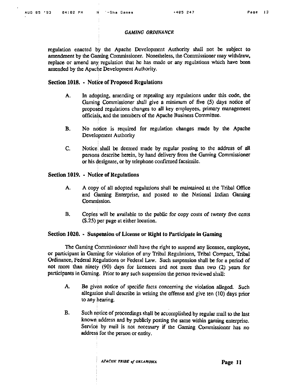regulation enacted by the Apache Development Authority shall not be subject to amendment by the Gaming Commissioner. Nonetheless, the Commissioner may withdraw, replace or amend any regulation that he has made or any regulations which have been amended by the Apache Development Authority.

# **Section 1018. • Notice of Proposed Regulations**

- A. In adopting, amending or repealing any regulations under this code, the **Guming** Commissioner shall give **n** minimum of five (5) days norice **of**  proposed regulations **changes** to all key employees, primary management officials, and the members of the Apache Business Committee.
- **B.** No notice is required for regulation changes made by the Apache Development Authority
- **C.** Notice **shdl** be deen~ed made by regular posting **to** the address **of** all persons describe herein, by hand delivery from the Gaming Commissioner or his designate, or by telephone confirmed facsimile.

# **Section 1019. • Notice of Regulations**

- A. A copy of all adopted regulations shall be maintained at the Tribal **Office**  and @uning Enterprise, and posted to the National Indian **Garuing Commission.**
- **B.** Copies will be available to the public for copy costs of twenty five cents (\$.25) per page at either location.

# **Section 1020.** • Suspension of License or Right to Participate in Gaming **Section**

The Ganling Commissioncr shall have the right to suspend any licensee, employee, or participant in Gaming for violation of any Tribal Regulations, Tribal Compact, Tribal Ordinance, Federal Regulations or Federal Law. Such suspension shall be for a period of **not** more than **nhcty** (90) days for liccnsccs **and** not more **than two** (2) **years** for participants in Gaming. Prior to any such suspension the person reviewed shall:

- **A.** Be **given** notice of specific facts concerning the violation **allegcd.** Such allegation shall describe in writing the offense and give ten (10) days prior to **.my hearing.**
- **B.** Such notice of proceedings shall be accomplished by regular mail to the last known address and by publicly posting the same within gaming enterprise. Service by mail is not necessary if the Gaming Commissioner has no address for the person or entity.

I *APACtIK TRIBE* **01** *UKtAHOMA* **Page 11**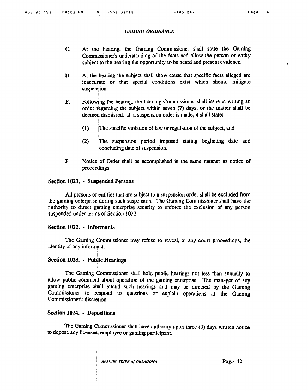- **C. At** the **hearing,** the Gaining Commissioner shall state the **Gatnhg**  Commissioner's understanding of the facts and allow the person or entity subject to the hearing the opportunity to **be** heard and present evidence.
- **D. At** the hearing the subject **shall** show cause that specific facts dleged are inaccurate or that special conditions exist which should mitigate suspension.
- **E.** Following the hearing, the Gaming Commissioner shall issue in writing an order regarding the subject within seven  $(7)$  days, or the matter shall be deemed dismissed. IF a suspension order is made, it shall state:
	- **(1)** The specific violation of law or regulation of the subject, and
	- (2) The suspension period imposed stating beginning date and concluding date of suspension.
- **F.** Notice of Order shall be accomplished in the same manner as notice of proceedings.

# **Section 1021,** - **Suspended Persons**

All persons orentities that are subject to **a** suspension order shall be excluded from the gaming enterprise during such suspension. The Gaming Commissioner shall have the authority to direct gaming enterprise security to enforce the exclusion of any person suspcnded under ternis of Section 1022.

### **Section 1022. - Informants**

The Gaming Con~rnissioner **tnay** refuse to reveal, a1 **any** court **proceedings,** the identity of any informant.

# **Section 1023.** - **Public Hearings**

The Gaming Commissioner shull hold public hearings not less than annually to allow public comment about operation of the gaming enterprise. The manager of any **gatning** enterprise **stiall** attend sucli huarings and my be directed **by** the **Gaming Commissions** to respond to questions or explain operations at the **Gaming**  Commissioner's discretion.

# **Section 1024.** • Depositions

The Gaming Commissioner shall have authority upon three (3) days written notice to depose any **licensee,** employee or gaming participant.

APACHE TRIBE of OKLAHOMA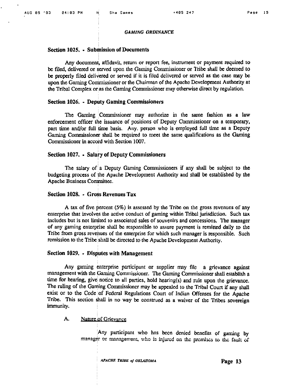### **Section 1025. • Submission of Documents**

Any document, affidavit, return or report fee, instrument or payment required to be **filed,** delivered or served upon the **Gaming** Commissioner or **'liibe** shall be deemed to **be** properly filed **delivered** or served if it is **filcd** dclivcted or served as the case may be upon the Gaming Commissioner or the Chairman of the Apache Development Authority at the Tribal Complex or as the Gaming Commissioner may otherwise direct by regulation.

#### **Section 1026.** - **Deputy Gaming Commissioners**

The Gaming Commissioner may authorize in the same fashion as a law enforcement officer the issuance of positions of Deputy Commissioner on a temporary, part time and/or full time basis. Any, person who is employed full time as a Deputy Gaming Commissioner shall be required to meet the same qualifications as the Gaming Commissioner in accord with Section 1007.

# **Section 1027.** • Salary of Deputy Commissioners

The salary of a Deputy Gaming Commissioners if any shall be subject to the budgeting process of the Apache Dcvelopmcnt Authority and shall **be** established by the Apache Business Committee.

# **Section 1028.** - **Cross Revenues Tax**

A **tax** of five percent (5%) is assessed by the Tribe on the gross revenues of **any**  enterprise that involves the active conduct of gaming within Tribal jurisdiction. Such tax includes but is not limited to associated sales of souvenirs and concessions. The manager **of any** gaming enterprise shall **be** rcsponsiblo to ussure payment is remitted daily to the **Tribe** from gross revenues of the enterprise for which such manager is responsible. Such remission to the Tribe shall be directed to the Apache Development Authority.

### **Section 1029. - Disputes with Management**

Any **gaming** enterprise participant or supplier **mny** file a grievance against management with the Gaming Commissioner. The Gaming Commissioner shall establish a time for hearing, give notice to all parties, hold hearing(s) and rule upon the grievance. The ruling of the Gaming Commissioner may be appealed to the Tribal Court if any shall **exist** or to the Code of Fcdcral Regultltions Court of **Indian** Offenses for **the** Apache Tribe. This section shall in no way be construed as a waiver of the Tribes sovereign immunity.

# A. **Nature of Grievance**

Any participant who has been denied benefits of gaming by  $m$ anager or management, who is injured on the premises to the fault of

I **APACHE** *TU~UK* **oj OA'LAUOAIA Page 13**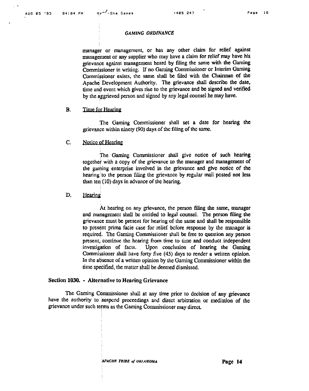manager or management, or has any other claim for relief against mnagernent or any supplier who may have a claim **for** relief **may** have **his**  grievance against management heard by filing the same with the Gaming Commissioner in writing. If no **Gaming** Commissioner' or Interim **Oaming**  Commissioner exists, the same shall be filed with the Chairman of the Apache Development Authority. The grievance shall describe the date, time and event which gives rise to the grievance and be signed and verified **by** the aggrieved person and signed **by** any legal counsel he **may** have.

#### $\mathbf{B}$ . Time for Hearing

The **Gaming** Commissioner shall set a date for hearing the grievance within ninety (90) days of thc **filing** of thc **samc.** 

 $C_{n}$ Notice of Hearing

> The Gaming Commissioner shall give notice of **such** hearing together with a copy of the grievance to the manager and management of the garning enterprise involved in the grievance and give notice of the hearing to the person filing the grievance by regular mail posted not less than ten  $(10)$  days in advance of the hearing.

#### D. Hearing

**At** hearing on **my** grievance, the person filing the same, **tnanager**  and management shall be entitled to legal counsel. The person filing the grievance must be present for hearing of the sane **and** shall be responsible to present prima facie case for relief before response by the manager is required. The Gaming Commissioner shull be free to question any person present, continue the hearing from time to time and conduct independent investigation of facts. Upon conclusion of hearing the Gaming Commissioner shall have forty five (45) days to render a written opinion, In the absence of a written opinion by the Gaming Commissioner within the **time specified,** the **mattcr** shall be **denled** dismissed.

# **Section 1030.** - **Alternative to Hcaring Grievance**

The Gaming Commissioner shall at any time prior to decision of any grievance have the authority to suspend proceedings and direct arbitration or mediation of the grievance under such terms as the Gaming Commissioner may direct.

APACIIK TRIBE of OKLAHOMA